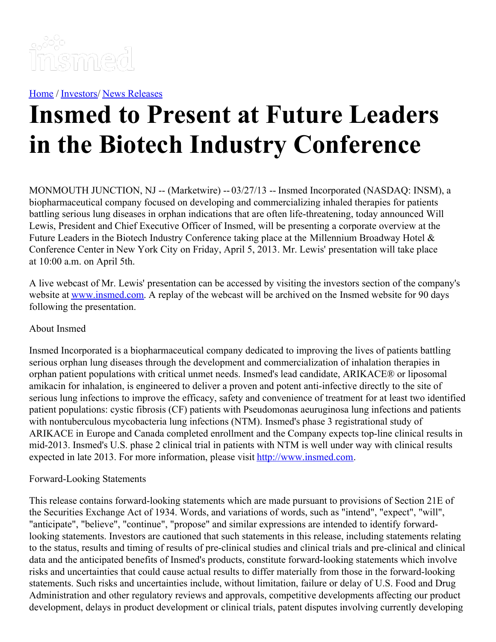

[Home](https://insmed.com/) / [Investors](https://investor.insmed.com/index)/ News [Releases](https://investor.insmed.com/releases)

## **Insmed to Present at Future Leaders in the Biotech Industry Conference**

MONMOUTH JUNCTION, NJ -- (Marketwire) -- 03/27/13 -- Insmed Incorporated (NASDAQ: INSM), a biopharmaceutical company focused on developing and commercializing inhaled therapies for patients battling serious lung diseases in orphan indications that are often life-threatening, today announced Will Lewis, President and Chief Executive Officer of Insmed, will be presenting a corporate overview at the Future Leaders in the Biotech Industry Conference taking place at the Millennium Broadway Hotel & Conference Center in New York City on Friday, April 5, 2013. Mr. Lewis' presentation will take place at 10:00 a.m. on April 5th.

A live webcast of Mr. Lewis' presentation can be accessed by visiting the investors section of the company's website at [www.insmed.com](http://www.insmed.com/). A replay of the webcast will be archived on the Insmed website for 90 days following the presentation.

## About Insmed

Insmed Incorporated is a biopharmaceutical company dedicated to improving the lives of patients battling serious orphan lung diseases through the development and commercialization of inhalation therapies in orphan patient populations with critical unmet needs. Insmed's lead candidate, ARIKACE® or liposomal amikacin for inhalation, is engineered to deliver a proven and potent anti-infective directly to the site of serious lung infections to improve the efficacy, safety and convenience of treatment for at least two identified patient populations: cystic fibrosis (CF) patients with Pseudomonas aeuruginosa lung infections and patients with nontuberculous mycobacteria lung infections (NTM). Insmed's phase 3 registrational study of ARIKACE in Europe and Canada completed enrollment and the Company expects top-line clinical results in mid-2013. Insmed's U.S. phase 2 clinical trial in patients with NTM is well under way with clinical results expected in late 2013. For more information, please visit [http://www.insmed.com](http://www.insmed.com/).

## Forward-Looking Statements

This release contains forward-looking statements which are made pursuant to provisions of Section 21E of the Securities Exchange Act of 1934. Words, and variations of words, such as "intend", "expect", "will", "anticipate", "believe", "continue", "propose" and similar expressions are intended to identify forwardlooking statements. Investors are cautioned that such statements in this release, including statements relating to the status, results and timing of results of pre-clinical studies and clinical trials and pre-clinical and clinical data and the anticipated benefits of Insmed's products, constitute forward-looking statements which involve risks and uncertainties that could cause actual results to differ materially from those in the forward-looking statements. Such risks and uncertainties include, without limitation, failure or delay of U.S. Food and Drug Administration and other regulatory reviews and approvals, competitive developments affecting our product development, delays in product development or clinical trials, patent disputes involving currently developing